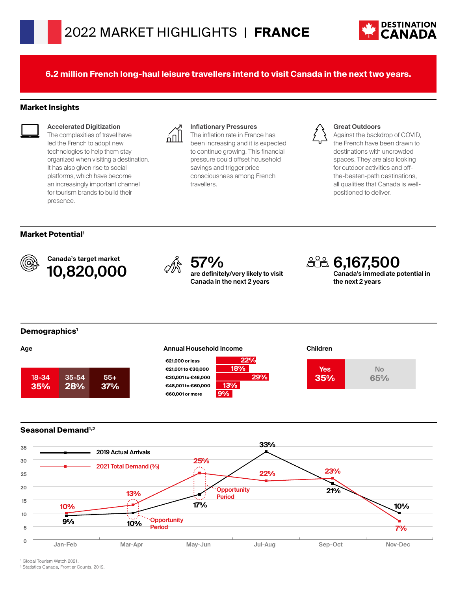

**6.2 million French long-haul leisure travellers intend to visit Canada in the next two years.**

#### **Market Insights**



**Accelerated Digitization**

The complexities of travel have led the French to adopt new technologies to help them stay organized when visiting a destination. It has also given rise to social platforms, which have become an increasingly important channel for tourism brands to build their presence.



## **Inflationary Pressures**

The inflation rate in France has been increasing and it is expected to continue growing. This financial pressure could offset household savings and trigger price consciousness among French travellers.



#### **Great Outdoors**

Against the backdrop of COVID, the French have been drawn to destinations with uncrowded spaces. They are also looking for outdoor activities and offthe-beaten-path destinations, all qualities that Canada is wellpositioned to deliver.

#### **Market Potential1**



Canada's target market Canada's target market<br>**10,820,000**  $\qquad \qquad \oslash \mathbb{R}$  **57%** 



**are definitely/very likely to visit Canada in the next 2 years**

**22%**

**29%**

**6,167,500 Canada's immediate potential in the next 2 years**

## **Demographics1**











## **Seasonal Demand1,2**



1 Global Tourism Watch 2021.

2 Statistics Canada, Frontier Counts, 2019.